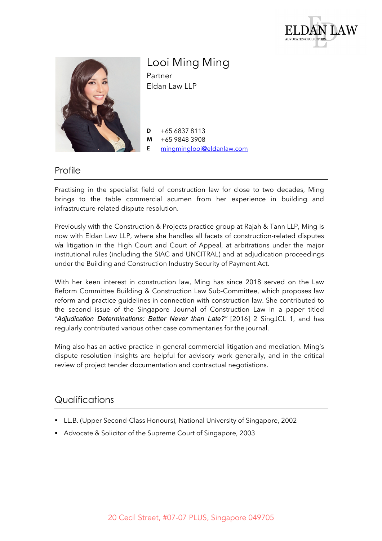



Looi Ming Ming Partner Eldan Law LLP

**D** +65 6837 8113 **M** +65 9848 3908 **E** mingminglooi@eldanlaw.com

## Profile

Practising in the specialist field of construction law for close to two decades, Ming brings to the table commercial acumen from her experience in building and infrastructure-related dispute resolution.

Previously with the Construction & Projects practice group at Rajah & Tann LLP, Ming is now with Eldan Law LLP, where she handles all facets of construction-related disputes *via* litigation in the High Court and Court of Appeal, at arbitrations under the major institutional rules (including the SIAC and UNCITRAL) and at adjudication proceedings under the Building and Construction Industry Security of Payment Act.

With her keen interest in construction law, Ming has since 2018 served on the Law Reform Committee Building & Construction Law Sub-Committee, which proposes law reform and practice guidelines in connection with construction law. She contributed to the second issue of the Singapore Journal of Construction Law in a paper titled *"Adjudication Determinations: Better Never than Late?"* [2016] 2 SingJCL 1, and has regularly contributed various other case commentaries for the journal.

Ming also has an active practice in general commercial litigation and mediation. Ming's dispute resolution insights are helpful for advisory work generally, and in the critical review of project tender documentation and contractual negotiations.

## **Qualifications**

- § LL.B. (Upper Second-Class Honours), National University of Singapore, 2002
- Advocate & Solicitor of the Supreme Court of Singapore, 2003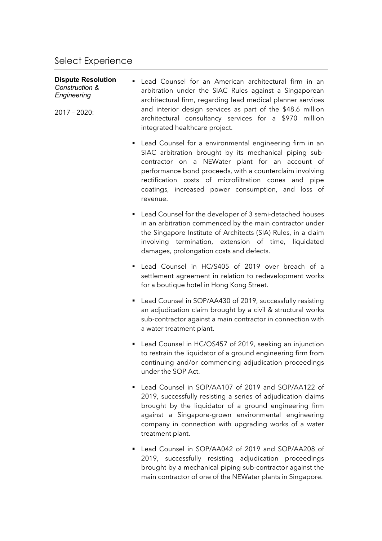## **Dispute Resolution** *Construction & Engineering*

2017 – 2020:

- Lead Counsel for an American architectural firm in an arbitration under the SIAC Rules against a Singaporean architectural firm, regarding lead medical planner services and interior design services as part of the \$48.6 million architectural consultancy services for a \$970 million integrated healthcare project.
	- Lead Counsel for a environmental engineering firm in an SIAC arbitration brought by its mechanical piping subcontractor on a NEWater plant for an account of performance bond proceeds, with a counterclaim involving rectification costs of microfiltration cones and pipe coatings, increased power consumption, and loss of revenue.
	- Lead Counsel for the developer of 3 semi-detached houses in an arbitration commenced by the main contractor under the Singapore Institute of Architects (SIA) Rules, in a claim involving termination, extension of time, liquidated damages, prolongation costs and defects.
	- Lead Counsel in HC/S405 of 2019 over breach of a settlement agreement in relation to redevelopment works for a boutique hotel in Hong Kong Street.
	- Lead Counsel in SOP/AA430 of 2019, successfully resisting an adjudication claim brought by a civil & structural works sub-contractor against a main contractor in connection with a water treatment plant.
	- Lead Counsel in HC/OS457 of 2019, seeking an injunction to restrain the liquidator of a ground engineering firm from continuing and/or commencing adjudication proceedings under the SOP Act.
	- § Lead Counsel in SOP/AA107 of 2019 and SOP/AA122 of 2019, successfully resisting a series of adjudication claims brought by the liquidator of a ground engineering firm against a Singapore-grown environmental engineering company in connection with upgrading works of a water treatment plant.
	- Lead Counsel in SOP/AA042 of 2019 and SOP/AA208 of 2019, successfully resisting adjudication proceedings brought by a mechanical piping sub-contractor against the main contractor of one of the NEWater plants in Singapore.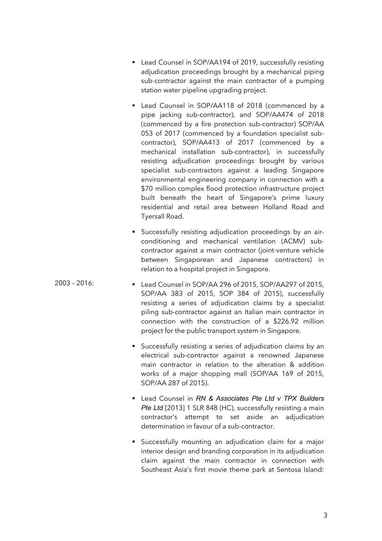- Lead Counsel in SOP/AA194 of 2019, successfully resisting adjudication proceedings brought by a mechanical piping sub-contractor against the main contractor of a pumping station water pipeline upgrading project.
- Lead Counsel in SOP/AA118 of 2018 (commenced by a pipe jacking sub-contractor), and SOP/AA474 of 2018 (commenced by a fire protection sub-contractor) SOP/AA 053 of 2017 (commenced by a foundation specialist subcontractor), SOP/AA413 of 2017 (commenced by a mechanical installation sub-contractor), in successfully resisting adjudication proceedings brought by various specialist sub-contractors against a leading Singapore environmental engineering company in connection with a \$70 million complex flood protection infrastructure project built beneath the heart of Singapore's prime luxury residential and retail area between Holland Road and Tyersall Road.
- § Successfully resisting adjudication proceedings by an airconditioning and mechanical ventilation (ACMV) subcontractor against a main contractor (joint-venture vehicle between Singaporean and Japanese contractors) in relation to a hospital project in Singapore.
- 2003 2016: § Lead Counsel in SOP/AA 296 of 2015, SOP/AA297 of 2015, SOP/AA 383 of 2015, SOP 384 of 2015), successfully resisting a series of adjudication claims by a specialist piling sub-contractor against an Italian main contractor in connection with the construction of a \$226.92 million project for the public transport system in Singapore.
	- § Successfully resisting a series of adjudication claims by an electrical sub-contractor against a renowned Japanese main contractor in relation to the alteration & addition works of a major shopping mall (SOP/AA 169 of 2015, SOP/AA 287 of 2015).
	- Lead Counsel in *RN & Associates Pte Ltd v TPX Builders* Pte Ltd <sup>[2013] 1 SLR 848 (HC), successfully resisting a main</sup> contractor's attempt to set aside an adjudication determination in favour of a sub-contractor.
	- § Successfully mounting an adjudication claim for a major interior design and branding corporation in its adjudication claim against the main contractor in connection with Southeast Asia's first movie theme park at Sentosa Island: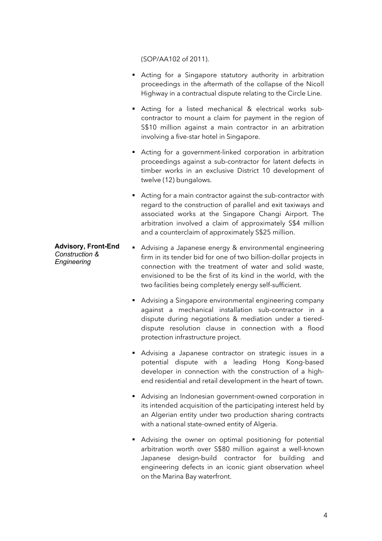(SOP/AA102 of 2011).

- Acting for a Singapore statutory authority in arbitration proceedings in the aftermath of the collapse of the Nicoll Highway in a contractual dispute relating to the Circle Line.
- § Acting for a listed mechanical & electrical works subcontractor to mount a claim for payment in the region of S\$10 million against a main contractor in an arbitration involving a five-star hotel in Singapore.
- Acting for a government-linked corporation in arbitration proceedings against a sub-contractor for latent defects in timber works in an exclusive District 10 development of twelve (12) bungalows.
- Acting for a main contractor against the sub-contractor with regard to the construction of parallel and exit taxiways and associated works at the Singapore Changi Airport. The arbitration involved a claim of approximately S\$4 million and a counterclaim of approximately S\$25 million.

## **Advisory, Front-End** *Construction & Engineering*

- Advising a Japanese energy & environmental engineering firm in its tender bid for one of two billion-dollar projects in connection with the treatment of water and solid waste, envisioned to be the first of its kind in the world, with the two facilities being completely energy self-sufficient.
	- Advising a Singapore environmental engineering company against a mechanical installation sub-contractor in a dispute during negotiations & mediation under a tiereddispute resolution clause in connection with a flood protection infrastructure project.
	- § Advising a Japanese contractor on strategic issues in a potential dispute with a leading Hong Kong-based developer in connection with the construction of a highend residential and retail development in the heart of town.
	- Advising an Indonesian government-owned corporation in its intended acquisition of the participating interest held by an Algerian entity under two production sharing contracts with a national state-owned entity of Algeria.
	- Advising the owner on optimal positioning for potential arbitration worth over S\$80 million against a well-known Japanese design-build contractor for building and engineering defects in an iconic giant observation wheel on the Marina Bay waterfront.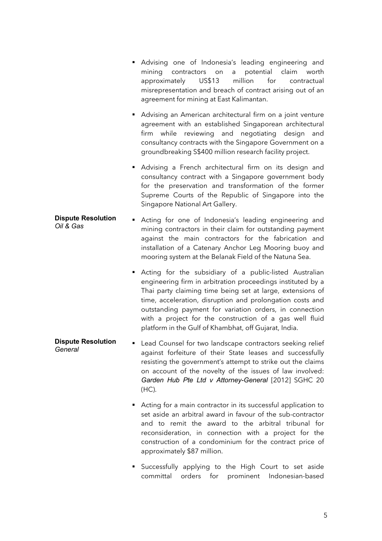- § Advising one of Indonesia's leading engineering and mining contractors on a potential claim worth approximately US\$13 million for contractual misrepresentation and breach of contract arising out of an agreement for mining at East Kalimantan.
- Advising an American architectural firm on a joint venture agreement with an established Singaporean architectural firm while reviewing and negotiating design and consultancy contracts with the Singapore Government on a groundbreaking S\$400 million research facility project.
- Advising a French architectural firm on its design and consultancy contract with a Singapore government body for the preservation and transformation of the former Supreme Courts of the Republic of Singapore into the Singapore National Art Gallery.
- **Dispute Resolution Dispute Resolution •** Acting for one of Indonesia's leading engineering and Oil & Gas mining contractors in their claim for outstanding payment against the main contractors for the fabrication and installation of a Catenary Anchor Leg Mooring buoy and mooring system at the Belanak Field of the Natuna Sea.
	- Acting for the subsidiary of a public-listed Australian engineering firm in arbitration proceedings instituted by a Thai party claiming time being set at large, extensions of time, acceleration, disruption and prolongation costs and outstanding payment for variation orders, in connection with a project for the construction of a gas well fluid platform in the Gulf of Khambhat, off Gujarat, India.
- **Dispute Resolution Dispute Resolution Executed Executes For two landscape contractors seeking relief**<br>General against forfeiture of their State leases and successfully resisting the government's attempt to strike out the claims on account of the novelty of the issues of law involved: *Garden Hub Pte Ltd v Attorney-General* [2012] SGHC 20 (HC).
	- Acting for a main contractor in its successful application to set aside an arbitral award in favour of the sub-contractor and to remit the award to the arbitral tribunal for reconsideration, in connection with a project for the construction of a condominium for the contract price of approximately \$87 million.
	- § Successfully applying to the High Court to set aside committal orders for prominent Indonesian-based

5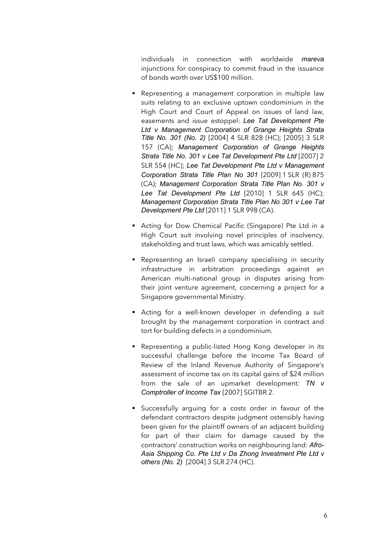individuals in connection with worldwide *mareva* injunctions for conspiracy to commit fraud in the issuance of bonds worth over US\$100 million.

- Representing a management corporation in multiple law suits relating to an exclusive uptown condominium in the High Court and Court of Appeal on issues of land law, easements and issue estoppel: *Lee Tat Development Pte Ltd v Management Corporation of Grange Heights Strata Title No. 301 (No. 2)* [2004] 4 SLR 828 (HC); [2005] 3 SLR 157 (CA); *Management Corporation of Grange Heights Strata Title No. 301 v Lee Tat Development Pte Ltd* [2007] 2 SLR 554 (HC); *Lee Tat Development Pte Ltd v Management Corporation Strata Title Plan No 301* [2009] 1 SLR (R) 875 (CA); *Management Corporation Strata Title Plan No. 301 v Lee Tat Development Pte Ltd* [2010] 1 SLR 645 (HC); *Management Corporation Strata Title Plan No 301 v Lee Tat Development Pte Ltd* [2011] 1 SLR 998 (CA).
- Acting for Dow Chemical Pacific (Singapore) Pte Ltd in a High Court suit involving novel principles of insolvency, stakeholding and trust laws, which was amicably settled.
- Representing an Israeli company specialising in security infrastructure in arbitration proceedings against an American multi-national group in disputes arising from their joint venture agreement, concerning a project for a Singapore governmental Ministry.
- Acting for a well-known developer in defending a suit brought by the management corporation in contract and tort for building defects in a condominium.
- Representing a public-listed Hong Kong developer in its successful challenge before the Income Tax Board of Review of the Inland Revenue Authority of Singapore's assessment of income tax on its capital gains of \$24 million from the sale of an upmarket development: *TN v Comptroller of Income Tax* [2007] SGITBR 2.
- § Successfully arguing for a costs order in favour of the defendant contractors despite judgment ostensibly having been given for the plaintiff owners of an adjacent building for part of their claim for damage caused by the contractors' construction works on neighbouring land: *Afro-Asia Shipping Co. Pte Ltd v Da Zhong Investment Pte Ltd v others (No. 2)* [2004] 3 SLR 274 (HC).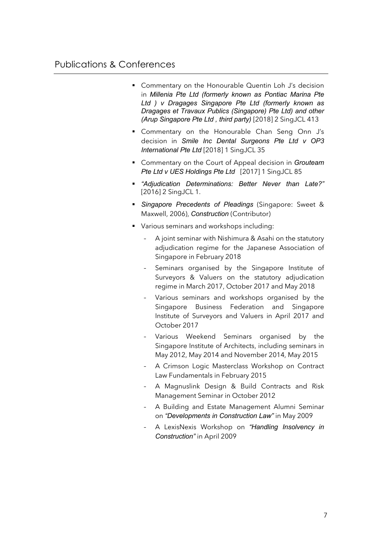- Commentary on the Honourable Quentin Loh J's decision in *Millenia Pte Ltd (formerly known as Pontiac Marina Pte Ltd ) v Dragages Singapore Pte Ltd (formerly known as Dragages et Travaux Publics (Singapore) Pte Ltd) and other (Arup Singapore Pte Ltd , third party)* [2018] 2 SingJCL 413
- § Commentary on the Honourable Chan Seng Onn J's decision in *Smile Inc Dental Surgeons Pte Ltd v OP3 International Pte Ltd* [2018] 1 SingJCL 35
- Commentary on the Court of Appeal decision in *Grouteam Pte Ltd v UES Holdings Pte Ltd* [2017] 1 SingJCL 85
- § *"Adjudication Determinations: Better Never than Late?"* [2016] 2 SingJCL 1.
- § *Singapore Precedents of Pleadings* (Singapore: Sweet & Maxwell, 2006), *Construction* (Contributor)
- Various seminars and workshops including:
	- A joint seminar with Nishimura & Asahi on the statutory adjudication regime for the Japanese Association of Singapore in February 2018
	- Seminars organised by the Singapore Institute of Surveyors & Valuers on the statutory adjudication regime in March 2017, October 2017 and May 2018
	- Various seminars and workshops organised by the Singapore Business Federation and Singapore Institute of Surveyors and Valuers in April 2017 and October 2017
	- Various Weekend Seminars organised by the Singapore Institute of Architects, including seminars in May 2012, May 2014 and November 2014, May 2015
	- A Crimson Logic Masterclass Workshop on Contract Law Fundamentals in February 2015
	- A Magnuslink Design & Build Contracts and Risk Management Seminar in October 2012
	- A Building and Estate Management Alumni Seminar on *"Developments in Construction Law"* in May 2009
	- A LexisNexis Workshop on *"Handling Insolvency in Construction"* in April 2009